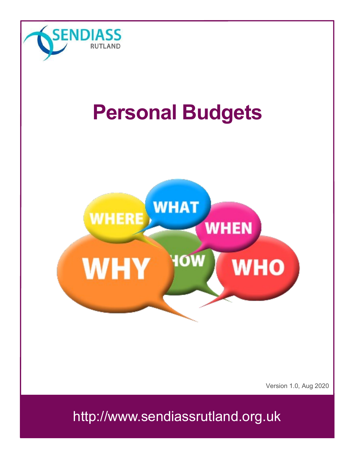

# **Personal Budgets**



Version 1.0, Aug 2020

http://www.sendiassrutland.org.uk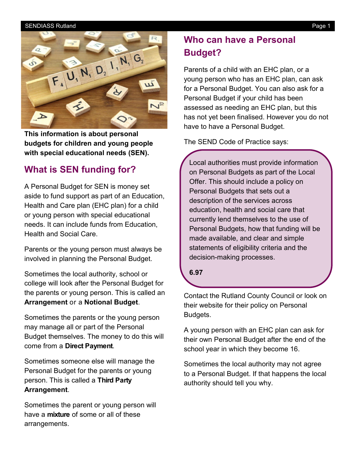#### SENDIASS Rutland Page 1



**This information is about personal budgets for children and young people with special educational needs (SEN).**

# **What is SEN funding for?**

A Personal Budget for SEN is money set aside to fund support as part of an Education, Health and Care plan (EHC plan) for a child or young person with special educational needs. It can include funds from Education, Health and Social Care.

Parents or the young person must always be involved in planning the Personal Budget.

Sometimes the local authority, school or college will look after the Personal Budget for the parents or young person. This is called an **Arrangement** or a **Notional Budget**.

Sometimes the parents or the young person may manage all or part of the Personal Budget themselves. The money to do this will come from a **Direct Payment**.

Sometimes someone else will manage the Personal Budget for the parents or young person. This is called a **Third Party Arrangement**.

Sometimes the parent or young person will have a **mixture** of some or all of these arrangements.

# **Who can have a Personal Budget?**

Parents of a child with an EHC plan, or a young person who has an EHC plan, can ask for a Personal Budget. You can also ask for a Personal Budget if your child has been assessed as needing an EHC plan, but this has not yet been finalised. However you do not have to have a Personal Budget.

The SEND Code of Practice says:

Local authorities must provide information on Personal Budgets as part of the Local Offer. This should include a policy on Personal Budgets that sets out a description of the services across education, health and social care that currently lend themselves to the use of Personal Budgets, how that funding will be made available, and clear and simple statements of eligibility criteria and the decision-making processes.

**6.97**

Contact the Rutland County Council or look on their website for their policy on Personal Budgets.

A young person with an EHC plan can ask for their own Personal Budget after the end of the school year in which they become 16.

Sometimes the local authority may not agree to a Personal Budget. If that happens the local authority should tell you why.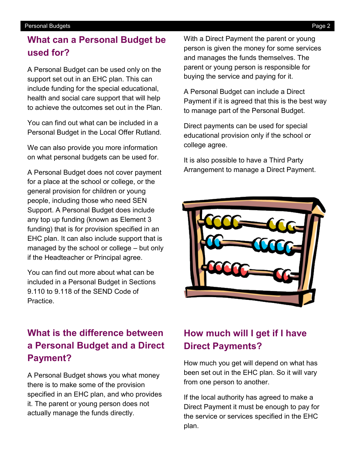#### Personal Budgets **Page 2**

# **What can a Personal Budget be used for?**

A Personal Budget can be used only on the support set out in an EHC plan. This can include funding for the special educational, health and social care support that will help to achieve the outcomes set out in the Plan.

You can find out what can be included in a Personal Budget in the Local Offer Rutland.

We can also provide you more information on what personal budgets can be used for.

A Personal Budget does not cover payment for a place at the school or college, or the general provision for children or young people, including those who need SEN Support. A Personal Budget does include any top up funding (known as Element 3 funding) that is for provision specified in an EHC plan. It can also include support that is managed by the school or college – but only if the Headteacher or Principal agree.

You can find out more about what can be included in a Personal Budget in Sections 9.110 to 9.118 of the SEND Code of **Practice** 

# **What is the difference between a Personal Budget and a Direct Payment?**

A Personal Budget shows you what money there is to make some of the provision specified in an EHC plan, and who provides it. The parent or young person does not actually manage the funds directly.

With a Direct Payment the parent or young person is given the money for some services and manages the funds themselves. The parent or young person is responsible for buying the service and paying for it.

A Personal Budget can include a Direct Payment if it is agreed that this is the best way to manage part of the Personal Budget.

Direct payments can be used for special educational provision only if the school or college agree.

It is also possible to have a Third Party Arrangement to manage a Direct Payment.



# **How much will I get if I have Direct Payments?**

How much you get will depend on what has been set out in the EHC plan. So it will vary from one person to another.

If the local authority has agreed to make a Direct Payment it must be enough to pay for the service or services specified in the EHC plan.